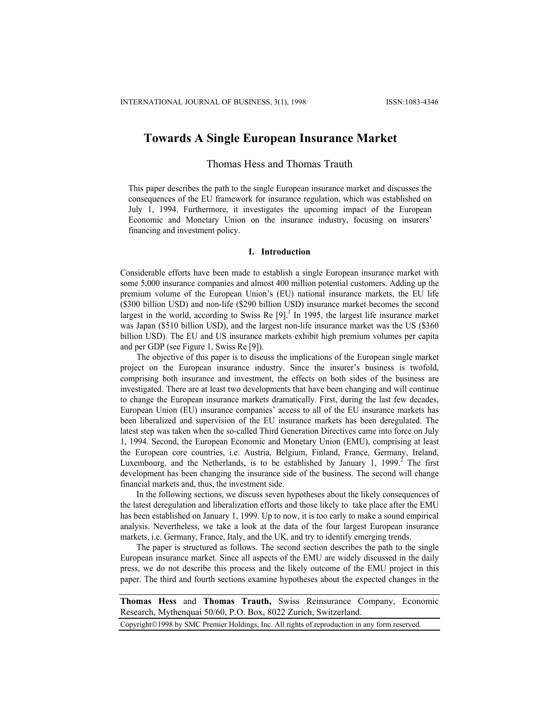# **Towards A Single European Insurance Market**

Thomas Hess and Thomas Trauth

This paper describes the path to the single European insurance market and discusses the consequences of the EU framework for insurance regulation, which was established on July 1, 1994. Furthermore, it investigates the upcoming impact of the European Economic and Monetary Union on the insurance industry, focusing on insurers' financing and investment policy.

## **I. Introduction**

Considerable efforts have been made to establish a single European insurance market with some 5,000 insurance companies and almost 400 million potential customers. Adding up the premium volume of the European Union's (EU) national insurance markets, the EU life (\$300 billion USD) and non-life (\$290 billion USD) insurance market becomes the second largest in the world, according to Swiss Re  $[9]$ .<sup>1</sup> In 1995, the largest life insurance market was Japan (\$510 billion USD), and the largest non-life insurance market was the US (\$360 billion USD). The EU and US insurance markets exhibit high premium volumes per capita and per GDP (see Figure 1, Swiss Re [9]).

The objective of this paper is to discuss the implications of the European single market project on the European insurance industry. Since the insurer's business is twofold, comprising both insurance and investment, the effects on both sides of the business are investigated. There are at least two developments that have been changing and will continue to change the European insurance markets dramatically. First, during the last few decades, European Union (EU) insurance companies' access to all of the EU insurance markets has been liberalized and supervision of the EU insurance markets has been deregulated. The latest step was taken when the so-called Third Generation Directives came into force on July 1, 1994. Second, the European Economic and Monetary Union (EMU), comprising at least the European core countries, i.e. Austria, Belgium, Finland, France, Germany, Ireland, Luxembourg, and the Netherlands, is to be established by January 1, 1999.<sup>2</sup> The first development has been changing the insurance side of the business. The second will change financial markets and, thus, the investment side.

In the following sections, we discuss seven hypotheses about the likely consequences of the latest deregulation and liberalization efforts and those likely to take place after the EMU has been established on January 1, 1999. Up to now, it is too early to make a sound empirical analysis. Nevertheless, we take a look at the data of the four largest European insurance markets, i.e. Germany, France, Italy, and the UK, and try to identify emerging trends.

The paper is structured as follows. The second section describes the path to the single European insurance market. Since all aspects of the EMU are widely discussed in the daily press, we do not describe this process and the likely outcome of the EMU project in this paper. The third and fourth sections examine hypotheses about the expected changes in the

**Thomas Hess** and **Thomas Trauth,** Swiss Reinsurance Company, Economic Research, Mythenquai 50/60, P.O. Box, 8022 Zurich, Switzerland.

Copyright©1998 by SMC Premier Holdings, Inc. All rights of reproduction in any form reserved.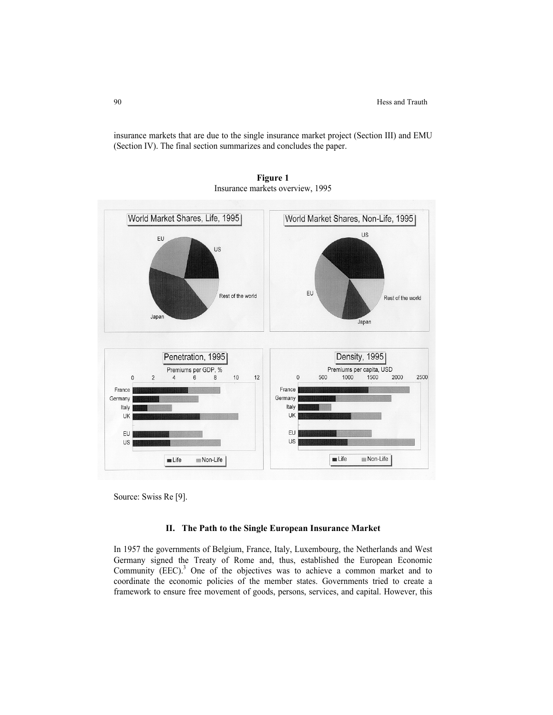insurance markets that are due to the single insurance market project (Section III) and EMU (Section IV). The final section summarizes and concludes the paper.



**Figure 1**  Insurance markets overview, 1995

Source: Swiss Re [9].

### **II. The Path to the Single European Insurance Market**

In 1957 the governments of Belgium, France, Italy, Luxembourg, the Netherlands and West Germany signed the Treaty of Rome and, thus, established the European Economic Community  $(EEC)^3$  One of the objectives was to achieve a common market and to coordinate the economic policies of the member states. Governments tried to create a framework to ensure free movement of goods, persons, services, and capital. However, this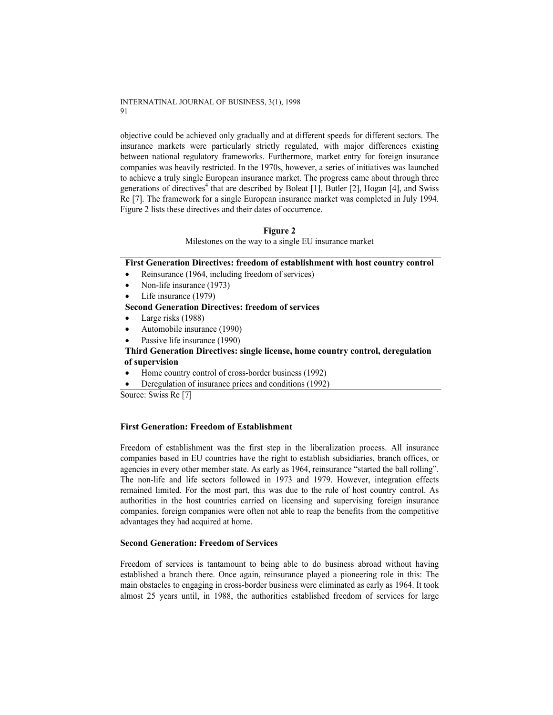objective could be achieved only gradually and at different speeds for different sectors. The insurance markets were particularly strictly regulated, with major differences existing between national regulatory frameworks. Furthermore, market entry for foreign insurance companies was heavily restricted. In the 1970s, however, a series of initiatives was launched to achieve a truly single European insurance market. The progress came about through three generations of directives<sup>4</sup> that are described by Boleat [1], Butler [2], Hogan [4], and Swiss Re [7]. The framework for a single European insurance market was completed in July 1994. Figure 2 lists these directives and their dates of occurrence.

# **Figure 2**

Milestones on the way to a single EU insurance market

**First Generation Directives: freedom of establishment with host country control** 

- Reinsurance (1964, including freedom of services)
- Non-life insurance (1973)
- Life insurance (1979)

# **Second Generation Directives: freedom of services**

- Large risks (1988)
- Automobile insurance (1990)
- Passive life insurance (1990)

# **Third Generation Directives: single license, home country control, deregulation of supervision**

- Home country control of cross-border business (1992)
- Deregulation of insurance prices and conditions (1992)

Source: Swiss Re [7]

# **First Generation: Freedom of Establishment**

Freedom of establishment was the first step in the liberalization process. All insurance companies based in EU countries have the right to establish subsidiaries, branch offices, or agencies in every other member state. As early as 1964, reinsurance "started the ball rolling". The non-life and life sectors followed in 1973 and 1979. However, integration effects remained limited. For the most part, this was due to the rule of host country control. As authorities in the host countries carried on licensing and supervising foreign insurance companies, foreign companies were often not able to reap the benefits from the competitive advantages they had acquired at home.

### **Second Generation: Freedom of Services**

Freedom of services is tantamount to being able to do business abroad without having established a branch there. Once again, reinsurance played a pioneering role in this: The main obstacles to engaging in cross-border business were eliminated as early as 1964. It took almost 25 years until, in 1988, the authorities established freedom of services for large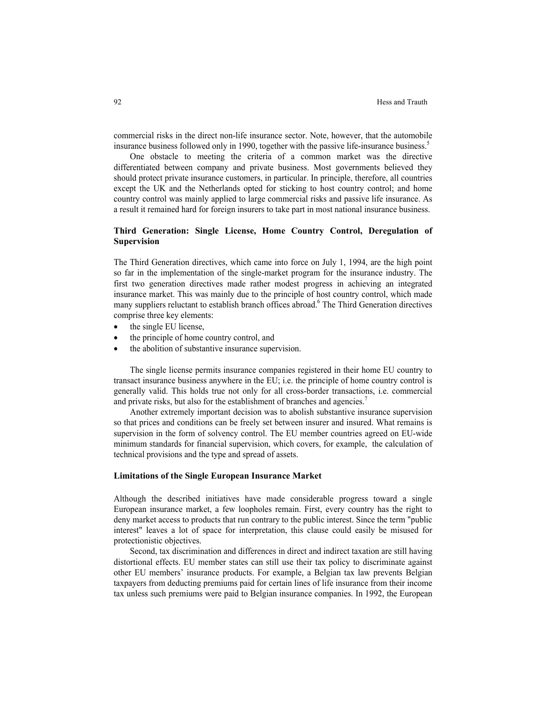commercial risks in the direct non-life insurance sector. Note, however, that the automobile insurance business followed only in 1990, together with the passive life-insurance business.<sup>5</sup>

One obstacle to meeting the criteria of a common market was the directive differentiated between company and private business. Most governments believed they should protect private insurance customers, in particular. In principle, therefore, all countries except the UK and the Netherlands opted for sticking to host country control; and home country control was mainly applied to large commercial risks and passive life insurance. As a result it remained hard for foreign insurers to take part in most national insurance business.

# **Third Generation: Single License, Home Country Control, Deregulation of Supervision**

The Third Generation directives, which came into force on July 1, 1994, are the high point so far in the implementation of the single-market program for the insurance industry. The first two generation directives made rather modest progress in achieving an integrated insurance market. This was mainly due to the principle of host country control, which made many suppliers reluctant to establish branch offices abroad.<sup>6</sup> The Third Generation directives comprise three key elements:

- the single EU license,
- the principle of home country control, and
- the abolition of substantive insurance supervision.

The single license permits insurance companies registered in their home EU country to transact insurance business anywhere in the EU; i.e. the principle of home country control is generally valid. This holds true not only for all cross-border transactions, i.e. commercial and private risks, but also for the establishment of branches and agencies.<sup>7</sup>

Another extremely important decision was to abolish substantive insurance supervision so that prices and conditions can be freely set between insurer and insured. What remains is supervision in the form of solvency control. The EU member countries agreed on EU-wide minimum standards for financial supervision, which covers, for example, the calculation of technical provisions and the type and spread of assets.

# **Limitations of the Single European Insurance Market**

Although the described initiatives have made considerable progress toward a single European insurance market, a few loopholes remain. First, every country has the right to deny market access to products that run contrary to the public interest. Since the term "public interest" leaves a lot of space for interpretation, this clause could easily be misused for protectionistic objectives.

Second, tax discrimination and differences in direct and indirect taxation are still having distortional effects. EU member states can still use their tax policy to discriminate against other EU members' insurance products. For example, a Belgian tax law prevents Belgian taxpayers from deducting premiums paid for certain lines of life insurance from their income tax unless such premiums were paid to Belgian insurance companies. In 1992, the European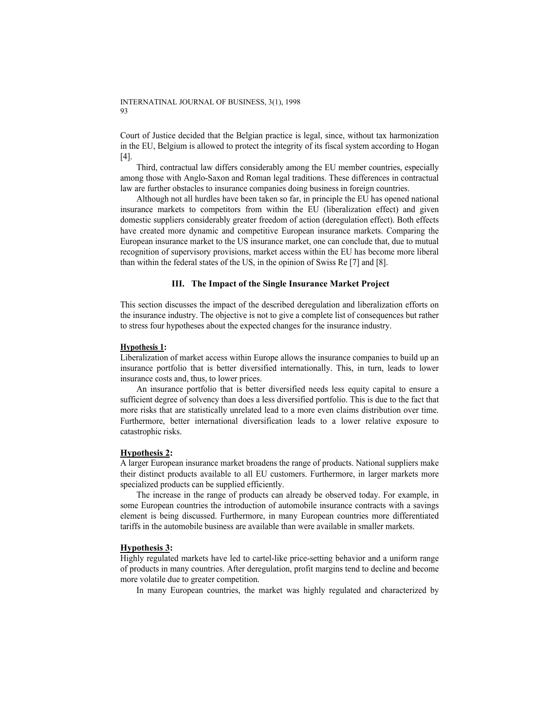Court of Justice decided that the Belgian practice is legal, since, without tax harmonization in the EU, Belgium is allowed to protect the integrity of its fiscal system according to Hogan [4].

Third, contractual law differs considerably among the EU member countries, especially among those with Anglo-Saxon and Roman legal traditions. These differences in contractual law are further obstacles to insurance companies doing business in foreign countries.

Although not all hurdles have been taken so far, in principle the EU has opened national insurance markets to competitors from within the EU (liberalization effect) and given domestic suppliers considerably greater freedom of action (deregulation effect). Both effects have created more dynamic and competitive European insurance markets. Comparing the European insurance market to the US insurance market, one can conclude that, due to mutual recognition of supervisory provisions, market access within the EU has become more liberal than within the federal states of the US, in the opinion of Swiss Re [7] and [8].

## **III. The Impact of the Single Insurance Market Project**

This section discusses the impact of the described deregulation and liberalization efforts on the insurance industry. The objective is not to give a complete list of consequences but rather to stress four hypotheses about the expected changes for the insurance industry.

### **Hypothesis 1:**

Liberalization of market access within Europe allows the insurance companies to build up an insurance portfolio that is better diversified internationally. This, in turn, leads to lower insurance costs and, thus, to lower prices.

An insurance portfolio that is better diversified needs less equity capital to ensure a sufficient degree of solvency than does a less diversified portfolio. This is due to the fact that more risks that are statistically unrelated lead to a more even claims distribution over time. Furthermore, better international diversification leads to a lower relative exposure to catastrophic risks.

# **Hypothesis 2:**

A larger European insurance market broadens the range of products. National suppliers make their distinct products available to all EU customers. Furthermore, in larger markets more specialized products can be supplied efficiently.

The increase in the range of products can already be observed today. For example, in some European countries the introduction of automobile insurance contracts with a savings element is being discussed. Furthermore, in many European countries more differentiated tariffs in the automobile business are available than were available in smaller markets.

#### **Hypothesis 3:**

Highly regulated markets have led to cartel-like price-setting behavior and a uniform range of products in many countries. After deregulation, profit margins tend to decline and become more volatile due to greater competition.

In many European countries, the market was highly regulated and characterized by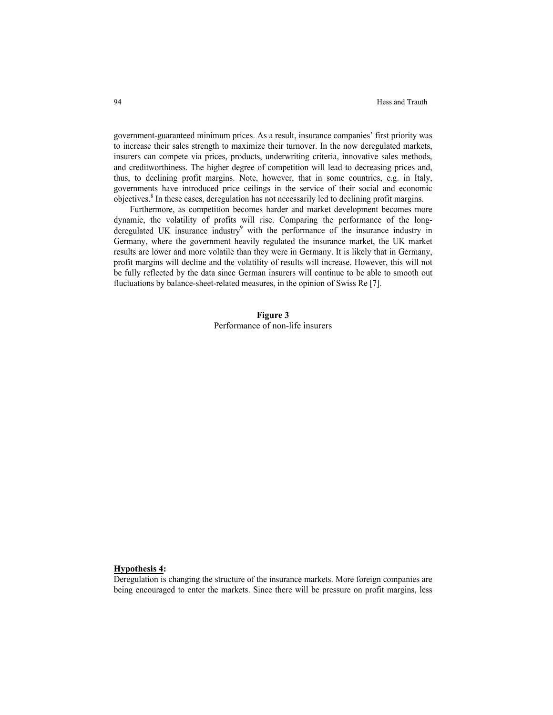government-guaranteed minimum prices. As a result, insurance companies' first priority was to increase their sales strength to maximize their turnover. In the now deregulated markets, insurers can compete via prices, products, underwriting criteria, innovative sales methods, and creditworthiness. The higher degree of competition will lead to decreasing prices and, thus, to declining profit margins. Note, however, that in some countries, e.g. in Italy, governments have introduced price ceilings in the service of their social and economic objectives.<sup>8</sup> In these cases, deregulation has not necessarily led to declining profit margins.

Furthermore, as competition becomes harder and market development becomes more dynamic, the volatility of profits will rise. Comparing the performance of the longderegulated UK insurance industry $\delta$  with the performance of the insurance industry in Germany, where the government heavily regulated the insurance market, the UK market results are lower and more volatile than they were in Germany. It is likely that in Germany, profit margins will decline and the volatility of results will increase. However, this will not be fully reflected by the data since German insurers will continue to be able to smooth out fluctuations by balance-sheet-related measures, in the opinion of Swiss Re [7].

> **Figure 3**  Performance of non-life insurers

#### **Hypothesis 4:**

Deregulation is changing the structure of the insurance markets. More foreign companies are being encouraged to enter the markets. Since there will be pressure on profit margins, less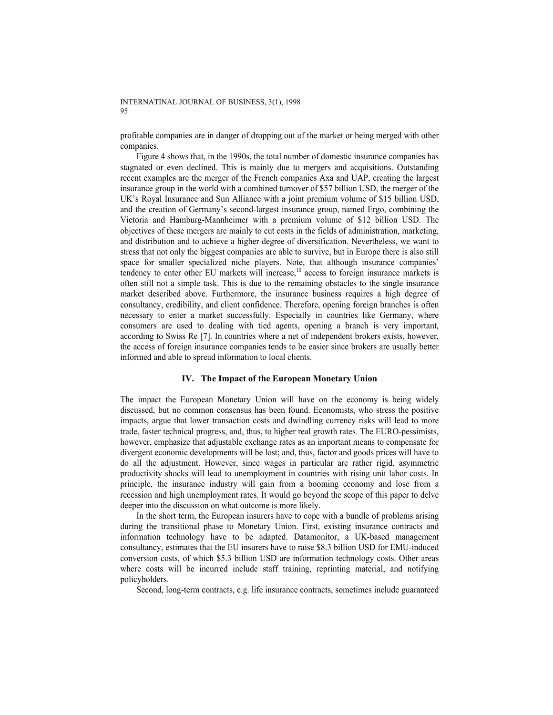profitable companies are in danger of dropping out of the market or being merged with other companies.

Figure 4 shows that, in the 1990s, the total number of domestic insurance companies has stagnated or even declined. This is mainly due to mergers and acquisitions. Outstanding recent examples are the merger of the French companies Axa and UAP, creating the largest insurance group in the world with a combined turnover of \$57 billion USD, the merger of the UK's Royal Insurance and Sun Alliance with a joint premium volume of \$15 billion USD, and the creation of Germany's second-largest insurance group, named Ergo, combining the Victoria and Hamburg-Mannheimer with a premium volume of \$12 billion USD. The objectives of these mergers are mainly to cut costs in the fields of administration, marketing, and distribution and to achieve a higher degree of diversification. Nevertheless, we want to stress that not only the biggest companies are able to survive, but in Europe there is also still space for smaller specialized niche players. Note, that although insurance companies' tendency to enter other EU markets will increase, $10$  access to foreign insurance markets is often still not a simple task. This is due to the remaining obstacles to the single insurance market described above. Furthermore, the insurance business requires a high degree of consultancy, credibility, and client confidence. Therefore, opening foreign branches is often necessary to enter a market successfully. Especially in countries like Germany, where consumers are used to dealing with tied agents, opening a branch is very important, according to Swiss Re [7]. In countries where a net of independent brokers exists, however, the access of foreign insurance companies tends to be easier since brokers are usually better informed and able to spread information to local clients.

### **IV. The Impact of the European Monetary Union**

The impact the European Monetary Union will have on the economy is being widely discussed, but no common consensus has been found. Economists, who stress the positive impacts, argue that lower transaction costs and dwindling currency risks will lead to more trade, faster technical progress, and, thus, to higher real growth rates. The EURO-pessimists, however, emphasize that adjustable exchange rates as an important means to compensate for divergent economic developments will be lost; and, thus, factor and goods prices will have to do all the adjustment. However, since wages in particular are rather rigid, asymmetric productivity shocks will lead to unemployment in countries with rising unit labor costs. In principle, the insurance industry will gain from a booming economy and lose from a recession and high unemployment rates. It would go beyond the scope of this paper to delve deeper into the discussion on what outcome is more likely.

In the short term, the European insurers have to cope with a bundle of problems arising during the transitional phase to Monetary Union. First, existing insurance contracts and information technology have to be adapted. Datamonitor, a UK-based management consultancy, estimates that the EU insurers have to raise \$8.3 billion USD for EMU-induced conversion costs, of which \$5.3 billion USD are information technology costs. Other areas where costs will be incurred include staff training, reprinting material, and notifying policyholders.

Second, long-term contracts, e.g. life insurance contracts, sometimes include guaranteed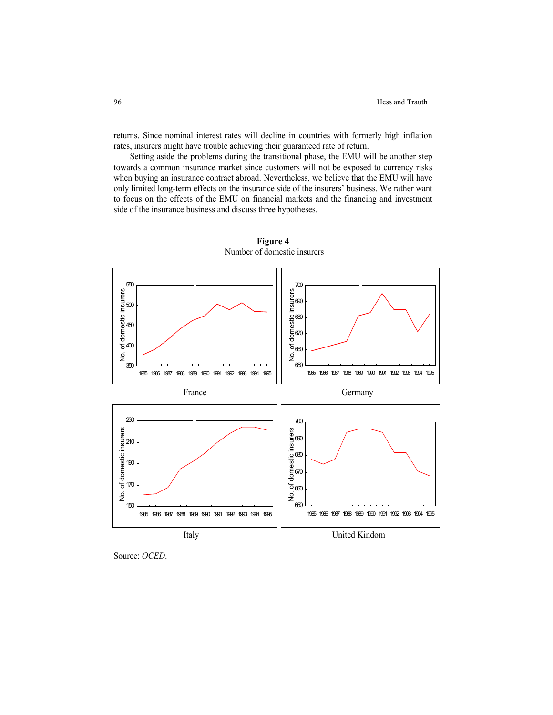returns. Since nominal interest rates will decline in countries with formerly high inflation rates, insurers might have trouble achieving their guaranteed rate of return.

Setting aside the problems during the transitional phase, the EMU will be another step towards a common insurance market since customers will not be exposed to currency risks when buying an insurance contract abroad. Nevertheless, we believe that the EMU will have only limited long-term effects on the insurance side of the insurers' business. We rather want to focus on the effects of the EMU on financial markets and the financing and investment side of the insurance business and discuss three hypotheses.



**Figure 4**  Number of domestic insurers

Source: *OCED*.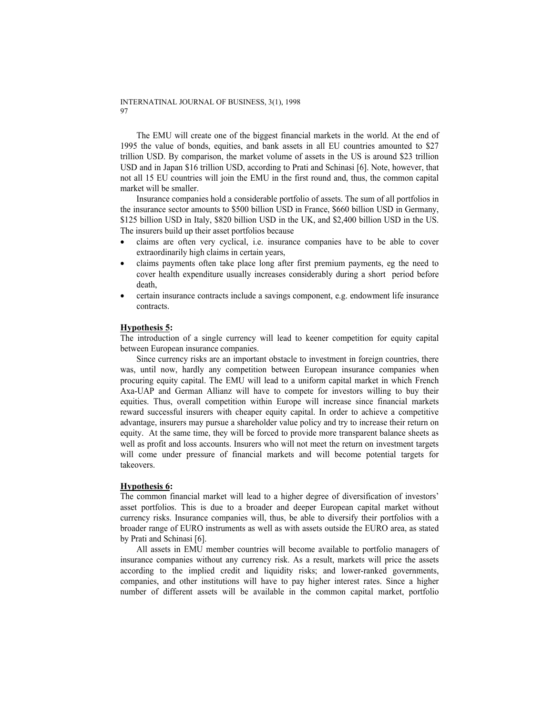The EMU will create one of the biggest financial markets in the world. At the end of 1995 the value of bonds, equities, and bank assets in all EU countries amounted to \$27 trillion USD. By comparison, the market volume of assets in the US is around \$23 trillion USD and in Japan \$16 trillion USD, according to Prati and Schinasi [6]. Note, however, that not all 15 EU countries will join the EMU in the first round and, thus, the common capital market will be smaller.

Insurance companies hold a considerable portfolio of assets. The sum of all portfolios in the insurance sector amounts to \$500 billion USD in France, \$660 billion USD in Germany, \$125 billion USD in Italy, \$820 billion USD in the UK, and \$2,400 billion USD in the US. The insurers build up their asset portfolios because

- claims are often very cyclical, i.e. insurance companies have to be able to cover extraordinarily high claims in certain years,
- claims payments often take place long after first premium payments, eg the need to cover health expenditure usually increases considerably during a short period before death,
- certain insurance contracts include a savings component, e.g. endowment life insurance contracts.

# **Hypothesis 5:**

The introduction of a single currency will lead to keener competition for equity capital between European insurance companies.

Since currency risks are an important obstacle to investment in foreign countries, there was, until now, hardly any competition between European insurance companies when procuring equity capital. The EMU will lead to a uniform capital market in which French Axa-UAP and German Allianz will have to compete for investors willing to buy their equities. Thus, overall competition within Europe will increase since financial markets reward successful insurers with cheaper equity capital. In order to achieve a competitive advantage, insurers may pursue a shareholder value policy and try to increase their return on equity. At the same time, they will be forced to provide more transparent balance sheets as well as profit and loss accounts. Insurers who will not meet the return on investment targets will come under pressure of financial markets and will become potential targets for takeovers.

### **Hypothesis 6:**

The common financial market will lead to a higher degree of diversification of investors' asset portfolios. This is due to a broader and deeper European capital market without currency risks. Insurance companies will, thus, be able to diversify their portfolios with a broader range of EURO instruments as well as with assets outside the EURO area, as stated by Prati and Schinasi [6].

All assets in EMU member countries will become available to portfolio managers of insurance companies without any currency risk. As a result, markets will price the assets according to the implied credit and liquidity risks; and lower-ranked governments, companies, and other institutions will have to pay higher interest rates. Since a higher number of different assets will be available in the common capital market, portfolio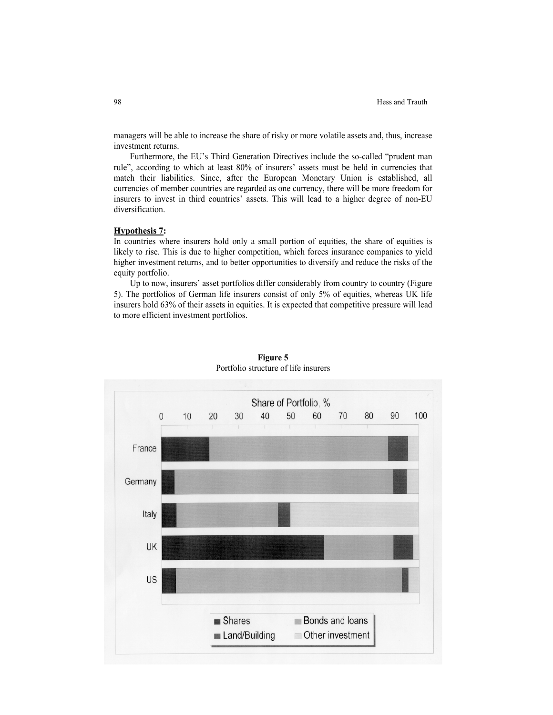managers will be able to increase the share of risky or more volatile assets and, thus, increase investment returns.

Furthermore, the EU's Third Generation Directives include the so-called "prudent man rule", according to which at least 80% of insurers' assets must be held in currencies that match their liabilities. Since, after the European Monetary Union is established, all currencies of member countries are regarded as one currency, there will be more freedom for insurers to invest in third countries' assets. This will lead to a higher degree of non-EU diversification.

### **Hypothesis 7:**

In countries where insurers hold only a small portion of equities, the share of equities is likely to rise. This is due to higher competition, which forces insurance companies to yield higher investment returns, and to better opportunities to diversify and reduce the risks of the equity portfolio.

Up to now, insurers' asset portfolios differ considerably from country to country (Figure 5). The portfolios of German life insurers consist of only 5% of equities, whereas UK life insurers hold 63% of their assets in equities. It is expected that competitive pressure will lead to more efficient investment portfolios.



**Figure 5** Portfolio structure of life insurers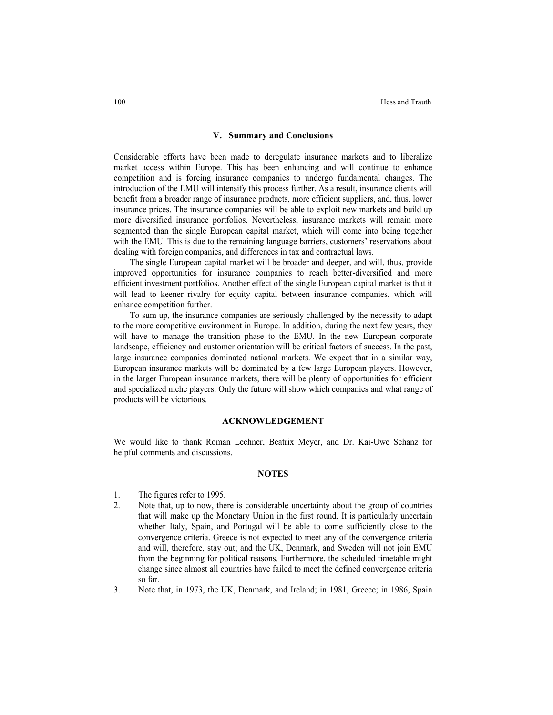#### **V. Summary and Conclusions**

Considerable efforts have been made to deregulate insurance markets and to liberalize market access within Europe. This has been enhancing and will continue to enhance competition and is forcing insurance companies to undergo fundamental changes. The introduction of the EMU will intensify this process further. As a result, insurance clients will benefit from a broader range of insurance products, more efficient suppliers, and, thus, lower insurance prices. The insurance companies will be able to exploit new markets and build up more diversified insurance portfolios. Nevertheless, insurance markets will remain more segmented than the single European capital market, which will come into being together with the EMU. This is due to the remaining language barriers, customers' reservations about dealing with foreign companies, and differences in tax and contractual laws.

The single European capital market will be broader and deeper, and will, thus, provide improved opportunities for insurance companies to reach better-diversified and more efficient investment portfolios. Another effect of the single European capital market is that it will lead to keener rivalry for equity capital between insurance companies, which will enhance competition further.

To sum up, the insurance companies are seriously challenged by the necessity to adapt to the more competitive environment in Europe. In addition, during the next few years, they will have to manage the transition phase to the EMU. In the new European corporate landscape, efficiency and customer orientation will be critical factors of success. In the past, large insurance companies dominated national markets. We expect that in a similar way, European insurance markets will be dominated by a few large European players. However, in the larger European insurance markets, there will be plenty of opportunities for efficient and specialized niche players. Only the future will show which companies and what range of products will be victorious.

#### **ACKNOWLEDGEMENT**

We would like to thank Roman Lechner, Beatrix Meyer, and Dr. Kai-Uwe Schanz for helpful comments and discussions.

#### **NOTES**

- 1. The figures refer to 1995.
- 2. Note that, up to now, there is considerable uncertainty about the group of countries that will make up the Monetary Union in the first round. It is particularly uncertain whether Italy, Spain, and Portugal will be able to come sufficiently close to the convergence criteria. Greece is not expected to meet any of the convergence criteria and will, therefore, stay out; and the UK, Denmark, and Sweden will not join EMU from the beginning for political reasons. Furthermore, the scheduled timetable might change since almost all countries have failed to meet the defined convergence criteria so far.
- 3. Note that, in 1973, the UK, Denmark, and Ireland; in 1981, Greece; in 1986, Spain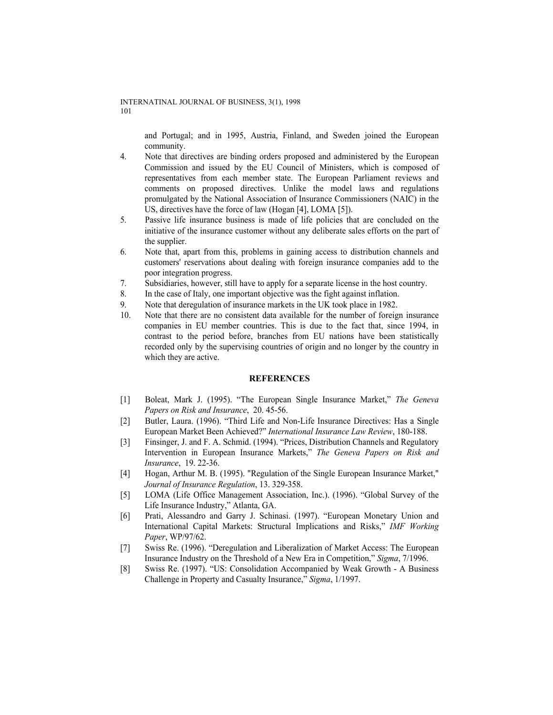and Portugal; and in 1995, Austria, Finland, and Sweden joined the European community.

- 4. Note that directives are binding orders proposed and administered by the European Commission and issued by the EU Council of Ministers, which is composed of representatives from each member state. The European Parliament reviews and comments on proposed directives. Unlike the model laws and regulations promulgated by the National Association of Insurance Commissioners (NAIC) in the US, directives have the force of law (Hogan [4], LOMA [5]).
- 5. Passive life insurance business is made of life policies that are concluded on the initiative of the insurance customer without any deliberate sales efforts on the part of the supplier.
- 6. Note that, apart from this, problems in gaining access to distribution channels and customers' reservations about dealing with foreign insurance companies add to the poor integration progress.
- 7. Subsidiaries, however, still have to apply for a separate license in the host country.
- 8. In the case of Italy, one important objective was the fight against inflation.
- 9. Note that deregulation of insurance markets in the UK took place in 1982.
- 10. Note that there are no consistent data available for the number of foreign insurance companies in EU member countries. This is due to the fact that, since 1994, in contrast to the period before, branches from EU nations have been statistically recorded only by the supervising countries of origin and no longer by the country in which they are active.

### **REFERENCES**

- [1] Boleat, Mark J. (1995). "The European Single Insurance Market," *The Geneva Papers on Risk and Insurance*, 20. 45-56.
- [2] Butler, Laura. (1996). "Third Life and Non-Life Insurance Directives: Has a Single European Market Been Achieved?" *International Insurance Law Review*, 180-188.
- [3] Finsinger, J. and F. A. Schmid. (1994). "Prices, Distribution Channels and Regulatory Intervention in European Insurance Markets," *The Geneva Papers on Risk and Insurance*, 19. 22-36.
- [4] Hogan, Arthur M. B. (1995). "Regulation of the Single European Insurance Market," *Journal of Insurance Regulation*, 13. 329-358.
- [5] LOMA (Life Office Management Association, Inc.). (1996). "Global Survey of the Life Insurance Industry," Atlanta, GA.
- [6] Prati, Alessandro and Garry J. Schinasi. (1997). "European Monetary Union and International Capital Markets: Structural Implications and Risks," *IMF Working Paper*, WP/97/62.
- [7] Swiss Re. (1996). "Deregulation and Liberalization of Market Access: The European Insurance Industry on the Threshold of a New Era in Competition," *Sigma*, 7/1996.
- [8] Swiss Re. (1997). "US: Consolidation Accompanied by Weak Growth A Business Challenge in Property and Casualty Insurance," *Sigma*, 1/1997.